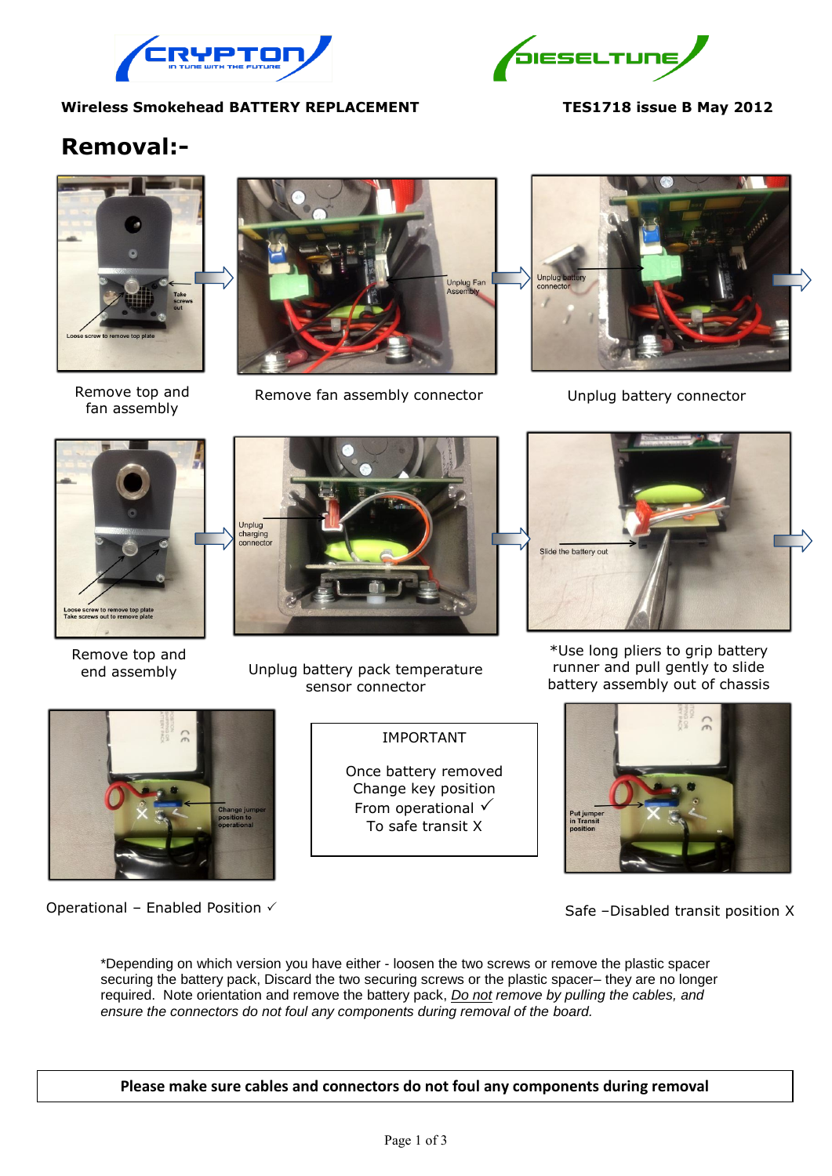

Wireless Smokehead BATTERY REPLACEMENT TES1718 issue B May 2012



## **Removal:-**



fan assembly



Remove top and end assembly



Remove top and Remove fan assembly connector and Unplug battery connector







\*Use long pliers to grip battery runner and pull gently to slide battery assembly out of chassis



Operational – Enabled Position

Unplug battery pack temperature sensor connector

### IMPORTANT

Once battery removed Change key position From operational  $\checkmark$ To safe transit X



Safe –Disabled transit position X

\*Depending on which version you have either - loosen the two screws or remove the plastic spacer securing the battery pack, Discard the two securing screws or the plastic spacer– they are no longer required. Note orientation and remove the battery pack, *Do not remove by pulling the cables, and ensure the connectors do not foul any components during removal of the board.*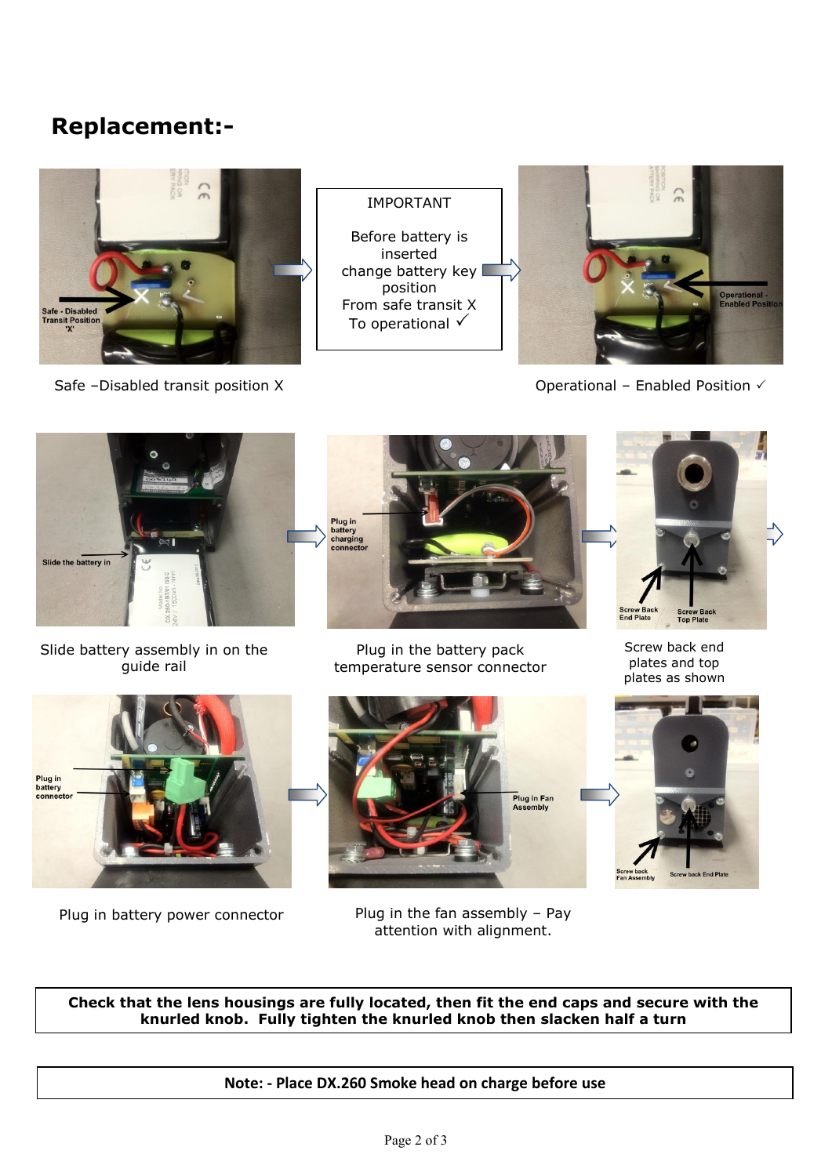# **Replacement:-**



Safe –Disabled transit position  $X$  Operational – Enabled Position  $\checkmark$ 

#### IMPORTANT

Before battery is inserted change battery key position From safe transit X To operational  $\checkmark$ 





Slide battery assembly in on the guide rail

Plug in<br>battery<br>connect





Plug in the battery pack temperature sensor connector Screw back end plates and top plates as shown



Plug in battery power connector Plug in the fan assembly  $-$  Pay



attention with alignment.



**Check that the lens housings are fully located, then fit the end caps and secure with the knurled knob. Fully tighten the knurled knob then slacken half a turn**

#### **Note: - Place DX.260 Smoke head on charge before use**